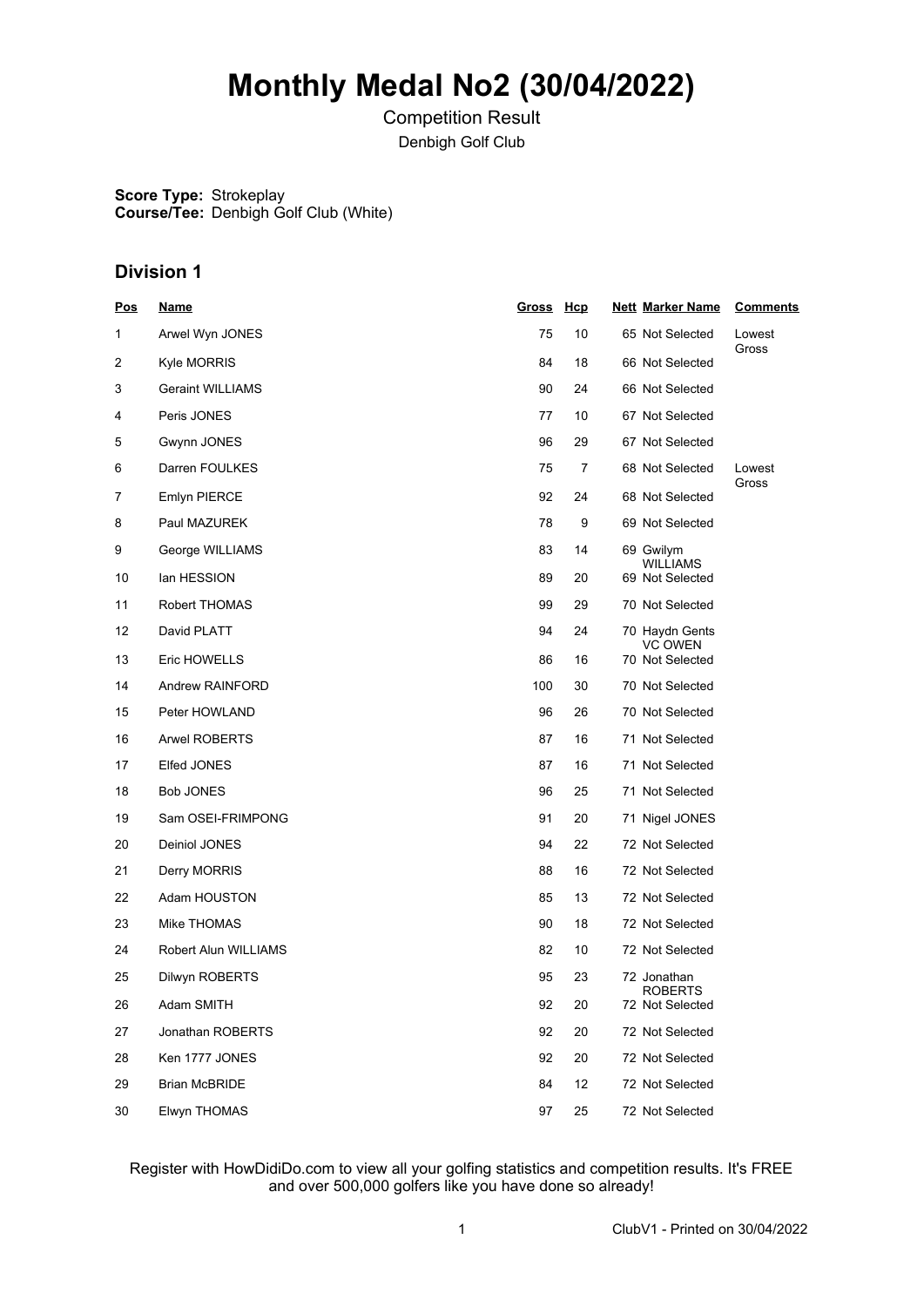# **Monthly Medal No2 (30/04/2022)**

Competition Result Denbigh Golf Club

**Score Type:** Strokeplay **Course/Tee:** Denbigh Golf Club (White)

## **Division 1**

| <b>Pos</b> | <b>Name</b>             | Gross Hcp |    | <b>Nett Marker Name</b>            | <b>Comments</b> |
|------------|-------------------------|-----------|----|------------------------------------|-----------------|
| 1          | Arwel Wyn JONES         | 75        | 10 | 65 Not Selected                    | Lowest          |
| 2          | <b>Kyle MORRIS</b>      | 84        | 18 | 66 Not Selected                    | Gross           |
| 3          | <b>Geraint WILLIAMS</b> | 90        | 24 | 66 Not Selected                    |                 |
| 4          | Peris JONES             | 77        | 10 | 67 Not Selected                    |                 |
| 5          | Gwynn JONES             | 96        | 29 | 67 Not Selected                    |                 |
| 6          | Darren FOULKES          | 75        | 7  | 68 Not Selected                    | Lowest          |
| 7          | <b>Emlyn PIERCE</b>     | 92        | 24 | 68 Not Selected                    | Gross           |
| 8          | Paul MAZUREK            | 78        | 9  | 69 Not Selected                    |                 |
| 9          | George WILLIAMS         | 83        | 14 | 69 Gwilym                          |                 |
| 10         | lan HESSION             | 89        | 20 | <b>WILLIAMS</b><br>69 Not Selected |                 |
| 11         | Robert THOMAS           | 99        | 29 | 70 Not Selected                    |                 |
| 12         | David PLATT             | 94        | 24 | 70  Haydn Gents                    |                 |
| 13         | Eric HOWELLS            | 86        | 16 | <b>VC OWEN</b><br>70 Not Selected  |                 |
| 14         | Andrew RAINFORD         | 100       | 30 | 70 Not Selected                    |                 |
| 15         | Peter HOWLAND           | 96        | 26 | 70 Not Selected                    |                 |
| 16         | <b>Arwel ROBERTS</b>    | 87        | 16 | 71 Not Selected                    |                 |
| 17         | Elfed JONES             | 87        | 16 | 71 Not Selected                    |                 |
| 18         | <b>Bob JONES</b>        | 96        | 25 | 71 Not Selected                    |                 |
| 19         | Sam OSEI-FRIMPONG       | 91        | 20 | 71 Nigel JONES                     |                 |
| 20         | Deiniol JONES           | 94        | 22 | 72 Not Selected                    |                 |
| 21         | Derry MORRIS            | 88        | 16 | 72 Not Selected                    |                 |
| 22         | Adam HOUSTON            | 85        | 13 | 72 Not Selected                    |                 |
| 23         | Mike THOMAS             | 90        | 18 | 72 Not Selected                    |                 |
| 24         | Robert Alun WILLIAMS    | 82        | 10 | 72 Not Selected                    |                 |
| 25         | Dilwyn ROBERTS          | 95        | 23 | 72 Jonathan<br>ROBERTS             |                 |
| 26         | Adam SMITH              | 92        | 20 | 72 Not Selected                    |                 |
| 27         | Jonathan ROBERTS        | 92        | 20 | 72 Not Selected                    |                 |
| 28         | Ken 1777 JONES          | 92        | 20 | 72 Not Selected                    |                 |
| 29         | <b>Brian McBRIDE</b>    | 84        | 12 | 72 Not Selected                    |                 |
| 30         | Elwyn THOMAS            | 97        | 25 | 72 Not Selected                    |                 |

### Register with HowDidiDo.com to view all your golfing statistics and competition results. It's FREE and over 500,000 golfers like you have done so already!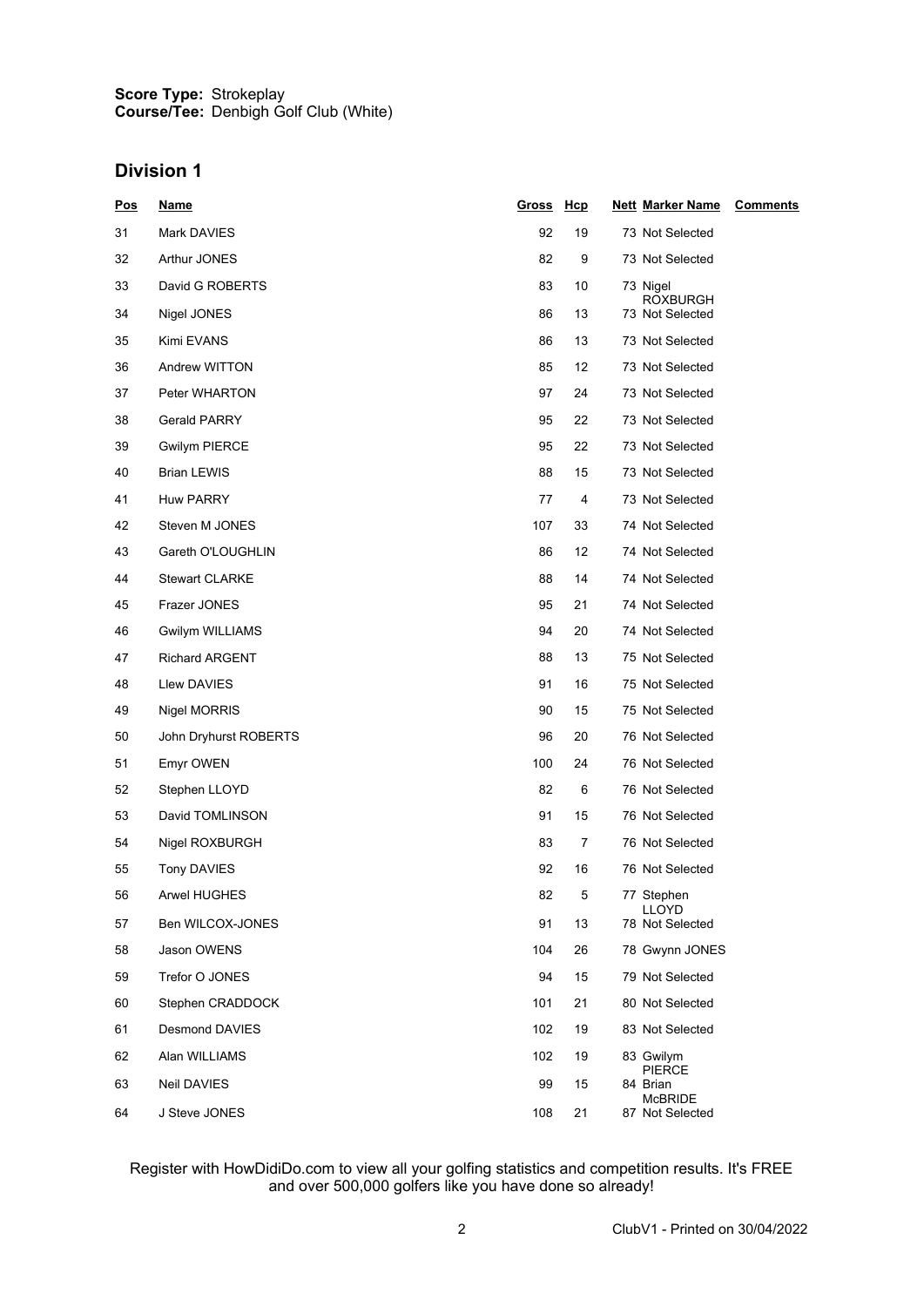#### **Score Type: Course/Tee:** Strokeplay Denbigh Golf Club (White)

## **Division 1**

| <u>Pos</u> | <u>Name</u>           | <u>Gross</u> | Hcp | <b>Nett Marker Name</b>         | <b>Comments</b> |
|------------|-----------------------|--------------|-----|---------------------------------|-----------------|
| 31         | Mark DAVIES           | 92           | 19  | 73 Not Selected                 |                 |
| 32         | Arthur JONES          | 82           | 9   | 73 Not Selected                 |                 |
| 33         | David G ROBERTS       | 83           | 10  | 73 Nigel<br><b>ROXBURGH</b>     |                 |
| 34         | Nigel JONES           | 86           | 13  | 73 Not Selected                 |                 |
| 35         | Kimi EVANS            | 86           | 13  | 73 Not Selected                 |                 |
| 36         | Andrew WITTON         | 85           | 12  | 73 Not Selected                 |                 |
| 37         | Peter WHARTON         | 97           | 24  | 73 Not Selected                 |                 |
| 38         | <b>Gerald PARRY</b>   | 95           | 22  | 73 Not Selected                 |                 |
| 39         | <b>Gwilym PIERCE</b>  | 95           | 22  | 73 Not Selected                 |                 |
| 40         | <b>Brian LEWIS</b>    | 88           | 15  | 73 Not Selected                 |                 |
| 41         | <b>Huw PARRY</b>      | 77           | 4   | 73 Not Selected                 |                 |
| 42         | Steven M JONES        | 107          | 33  | 74 Not Selected                 |                 |
| 43         | Gareth O'LOUGHLIN     | 86           | 12  | 74 Not Selected                 |                 |
| 44         | <b>Stewart CLARKE</b> | 88           | 14  | 74 Not Selected                 |                 |
| 45         | Frazer JONES          | 95           | 21  | 74 Not Selected                 |                 |
| 46         | Gwilym WILLIAMS       | 94           | 20  | 74 Not Selected                 |                 |
| 47         | <b>Richard ARGENT</b> | 88           | 13  | 75 Not Selected                 |                 |
| 48         | Llew DAVIES           | 91           | 16  | 75 Not Selected                 |                 |
| 49         | Nigel MORRIS          | 90           | 15  | 75 Not Selected                 |                 |
| 50         | John Dryhurst ROBERTS | 96           | 20  | 76 Not Selected                 |                 |
| 51         | Emyr OWEN             | 100          | 24  | 76 Not Selected                 |                 |
| 52         | Stephen LLOYD         | 82           | 6   | 76 Not Selected                 |                 |
| 53         | David TOMLINSON       | 91           | 15  | 76 Not Selected                 |                 |
| 54         | Nigel ROXBURGH        | 83           | 7   | 76 Not Selected                 |                 |
| 55         | Tony DAVIES           | 92           | 16  | 76 Not Selected                 |                 |
| 56         | Arwel HUGHES          | 82           | 5   | 77 Stephen                      |                 |
| 57         | Ben WILCOX-JONES      | 91           | 13  | <b>LLOYD</b><br>78 Not Selected |                 |
| 58         | Jason OWENS           | 104          | 26  | 78 Gwynn JONES                  |                 |
| 59         | Trefor O JONES        | 94           | 15  | 79 Not Selected                 |                 |
| 60         | Stephen CRADDOCK      | 101          | 21  | 80 Not Selected                 |                 |
| 61         | <b>Desmond DAVIES</b> | 102          | 19  | 83 Not Selected                 |                 |
| 62         | Alan WILLIAMS         | 102          | 19  | 83 Gwilym                       |                 |
| 63         | Neil DAVIES           | 99           | 15  | <b>PIERCE</b><br>84 Brian       |                 |
| 64         | J Steve JONES         | 108          | 21  | McBRIDE<br>87 Not Selected      |                 |

#### Register with HowDidiDo.com to view all your golfing statistics and competition results. It's FREE and over 500,000 golfers like you have done so already!